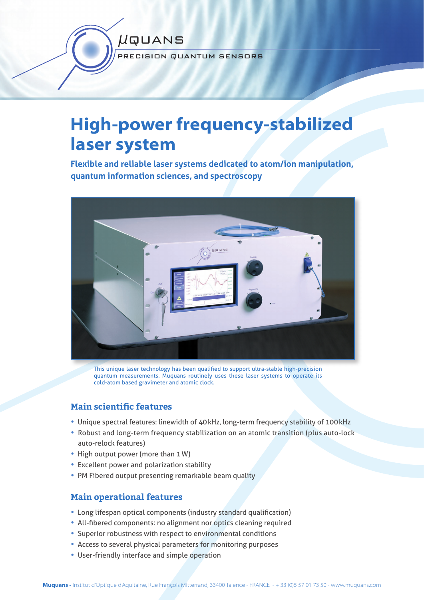

# **High-power frequency-stabilized laser system**

**Flexible and reliable laser systems dedicated to atom/ion manipulation, quantum information sciences, and spectroscopy**



This unique laser technology has been qualified to support ultra-stable high-precision quantum measurements. Muquans routinely uses these laser systems to operate its cold-atom based gravimeter and atomic clock.

# **Main scientific features**

- Unique spectral features: linewidth of 40 kHz, long-term frequency stability of 100 kHz
- Robust and long-term frequency stabilization on an atomic transition (plus auto-lock auto-relock features)
- High output power (more than 1W)
- Excellent power and polarization stability
- PM Fibered output presenting remarkable beam quality

# **Main operational features**

- Long lifespan optical components (industry standard qualification)
- All-fibered components: no alignment nor optics cleaning required
- Superior robustness with respect to environmental conditions
- Access to several physical parameters for monitoring purposes
- User-friendly interface and simple operation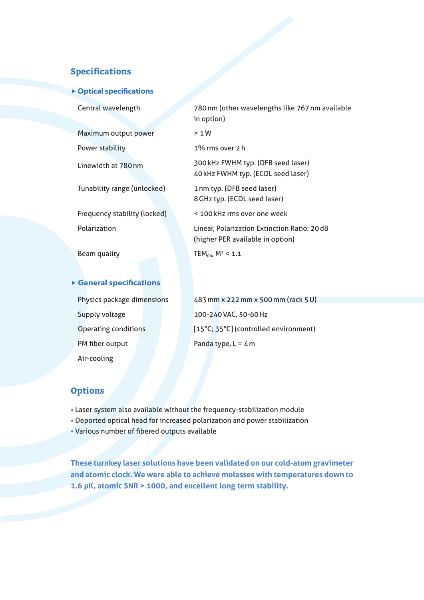## **Specifications**

#### **P** Optical specifications

Maximum output power > 1W

Tunability range (unlocked) 1 nm typ. (DFB seed laser)

 Central wavelength 780 nm (other wavelengths like 767 nm available in option)

Power stability 1% rms over 2 h

Linewidth at 780 nm 300 kHz FWHM typ. (DFB seed laser) 40 kHz FWHM typ. (ECDL seed laser)

8 GHz typ. (ECDL seed laser)

Frequency stability (locked) < 100 kHz rms over one week

 Polarization Linear, Polarization Extinction Ratio: 20 dB (higher PER available in option)

Beam quality  $TEM_{00}$ ,  $M^2 < 1.1$ 

#### **General specifications**

Supply voltage 100-240 VAC, 50-60 Hz PM fiber output Panda type, L = 4 m Air-cooling

Physics package dimensions 483 mm x 222 mm x 500 mm (rack 5 U) Operating conditions [15°C; 35°C] (controlled environment)

## **Options**

- Laser system also available without the frequency-stabilization module
- Deported optical head for increased polarization and power stabilization
- Various number of fibered outputs available

**These turnkey laser solutions have been validated on our cold-atom gravimeter and atomic clock. We were able to achieve molasses with temperatures down to 1.6 µK, atomic SNR > 1000, and excellent long term stability.**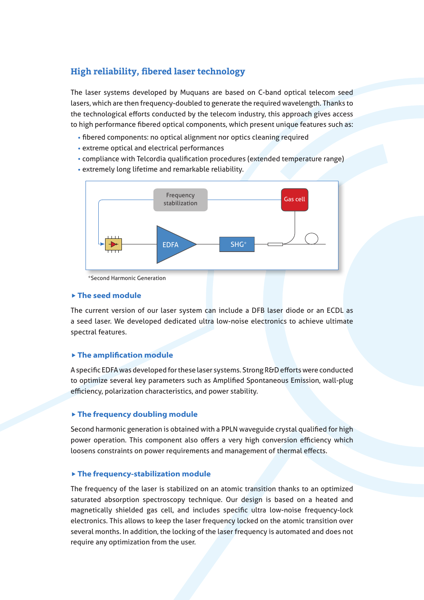# **High reliability, fibered laser technology**

The laser systems developed by Muquans are based on C-band optical telecom seed lasers, which are then frequency-doubled to generate the required wavelength. Thanks to the technological efforts conducted by the telecom industry, this approach gives access to high performance fibered optical components, which present unique features such as:

- fibered components: no optical alignment nor optics cleaning required
- extreme optical and electrical performances
- compliance with Telcordia qualification procedures (extended temperature range)
- extremely long lifetime and remarkable reliability.



#### **The seed module**

The current version of our laser system can include a DFB laser diode or an ECDL as a seed laser. We developed dedicated ultra low-noise electronics to achieve ultimate spectral features.

#### **Find amplification module**

A specific EDFA was developed for these laser systems. Strong R&D efforts were conducted to optimize several key parameters such as Amplified Spontaneous Emission, wall-plug efficiency, polarization characteristics, and power stability.

#### **The frequency doubling module**

Second harmonic generation is obtained with a PPLN waveguide crystal qualified for high power operation. This component also offers a very high conversion efficiency which loosens constraints on power requirements and management of thermal effects.

#### **The frequency-stabilization module**

The frequency of the laser is stabilized on an atomic transition thanks to an optimized saturated absorption spectroscopy technique. Our design is based on a heated and magnetically shielded gas cell, and includes specific ultra low-noise frequency-lock electronics. This allows to keep the laser frequency locked on the atomic transition over several months. In addition, the locking of the laser frequency is automated and does not require any optimization from the user.